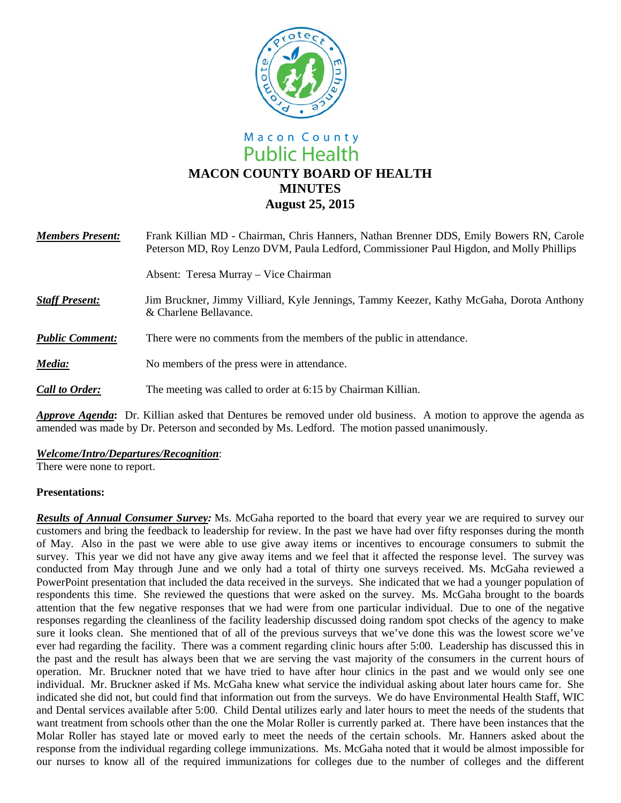

# Macon County **Public Health MACON COUNTY BOARD OF HEALTH MINUTES August 25, 2015**

| <b>Members Present:</b> | Frank Killian MD - Chairman, Chris Hanners, Nathan Brenner DDS, Emily Bowers RN, Carole<br>Peterson MD, Roy Lenzo DVM, Paula Ledford, Commissioner Paul Higdon, and Molly Phillips |
|-------------------------|------------------------------------------------------------------------------------------------------------------------------------------------------------------------------------|
|                         | Absent: Teresa Murray – Vice Chairman                                                                                                                                              |
| <b>Staff Present:</b>   | Jim Bruckner, Jimmy Villiard, Kyle Jennings, Tammy Keezer, Kathy McGaha, Dorota Anthony<br>& Charlene Bellavance.                                                                  |
| <b>Public Comment:</b>  | There were no comments from the members of the public in attendance.                                                                                                               |
| Media:                  | No members of the press were in attendance.                                                                                                                                        |
| <b>Call to Order:</b>   | The meeting was called to order at 6:15 by Chairman Killian.                                                                                                                       |

*Approve Agenda***:** Dr. Killian asked that Dentures be removed under old business. A motion to approve the agenda as amended was made by Dr. Peterson and seconded by Ms. Ledford. The motion passed unanimously.

*Welcome/Intro/Departures/Recognition*:

There were none to report.

### **Presentations:**

*Results of Annual Consumer Survey:* Ms. McGaha reported to the board that every year we are required to survey our customers and bring the feedback to leadership for review. In the past we have had over fifty responses during the month of May. Also in the past we were able to use give away items or incentives to encourage consumers to submit the survey. This year we did not have any give away items and we feel that it affected the response level. The survey was conducted from May through June and we only had a total of thirty one surveys received. Ms. McGaha reviewed a PowerPoint presentation that included the data received in the surveys. She indicated that we had a younger population of respondents this time. She reviewed the questions that were asked on the survey. Ms. McGaha brought to the boards attention that the few negative responses that we had were from one particular individual. Due to one of the negative responses regarding the cleanliness of the facility leadership discussed doing random spot checks of the agency to make sure it looks clean. She mentioned that of all of the previous surveys that we've done this was the lowest score we've ever had regarding the facility. There was a comment regarding clinic hours after 5:00. Leadership has discussed this in the past and the result has always been that we are serving the vast majority of the consumers in the current hours of operation. Mr. Bruckner noted that we have tried to have after hour clinics in the past and we would only see one individual. Mr. Bruckner asked if Ms. McGaha knew what service the individual asking about later hours came for. She indicated she did not, but could find that information out from the surveys. We do have Environmental Health Staff, WIC and Dental services available after 5:00. Child Dental utilizes early and later hours to meet the needs of the students that want treatment from schools other than the one the Molar Roller is currently parked at. There have been instances that the Molar Roller has stayed late or moved early to meet the needs of the certain schools. Mr. Hanners asked about the response from the individual regarding college immunizations. Ms. McGaha noted that it would be almost impossible for our nurses to know all of the required immunizations for colleges due to the number of colleges and the different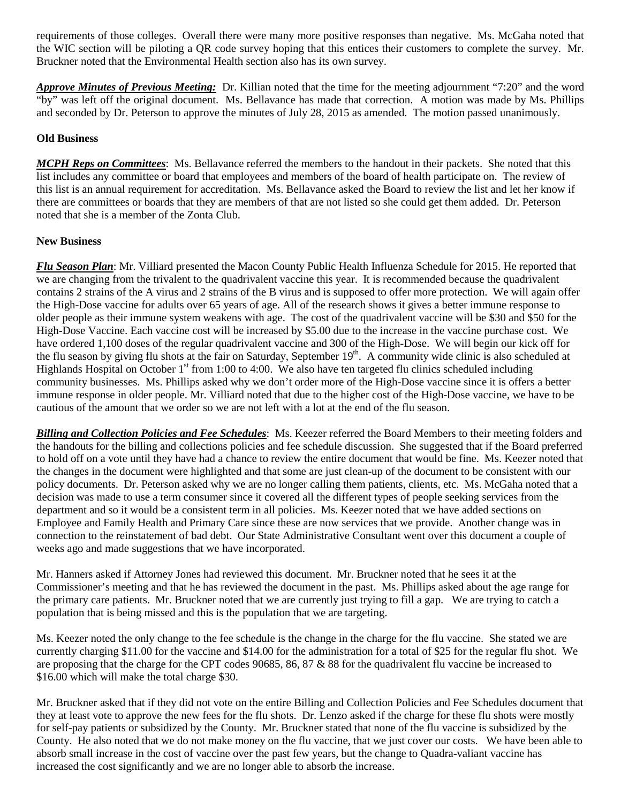requirements of those colleges. Overall there were many more positive responses than negative. Ms. McGaha noted that the WIC section will be piloting a QR code survey hoping that this entices their customers to complete the survey. Mr. Bruckner noted that the Environmental Health section also has its own survey.

*Approve Minutes of Previous Meeting:* Dr. Killian noted that the time for the meeting adjournment "7:20" and the word "by" was left off the original document. Ms. Bellavance has made that correction. A motion was made by Ms. Phillips and seconded by Dr. Peterson to approve the minutes of July 28, 2015 as amended. The motion passed unanimously.

# **Old Business**

*MCPH Reps on Committees*: Ms. Bellavance referred the members to the handout in their packets. She noted that this list includes any committee or board that employees and members of the board of health participate on. The review of this list is an annual requirement for accreditation. Ms. Bellavance asked the Board to review the list and let her know if there are committees or boards that they are members of that are not listed so she could get them added. Dr. Peterson noted that she is a member of the Zonta Club.

## **New Business**

*Flu Season Plan*: Mr. Villiard presented the Macon County Public Health Influenza Schedule for 2015. He reported that we are changing from the trivalent to the quadrivalent vaccine this year. It is recommended because the quadrivalent contains 2 strains of the A virus and 2 strains of the B virus and is supposed to offer more protection. We will again offer the High-Dose vaccine for adults over 65 years of age. All of the research shows it gives a better immune response to older people as their immune system weakens with age. The cost of the quadrivalent vaccine will be \$30 and \$50 for the High-Dose Vaccine. Each vaccine cost will be increased by \$5.00 due to the increase in the vaccine purchase cost. We have ordered 1,100 doses of the regular quadrivalent vaccine and 300 of the High-Dose. We will begin our kick off for the flu season by giving flu shots at the fair on Saturday, September 19<sup>th</sup>. A community wide clinic is also scheduled at Highlands Hospital on October  $1<sup>st</sup>$  from 1:00 to 4:00. We also have ten targeted flu clinics scheduled including community businesses. Ms. Phillips asked why we don't order more of the High-Dose vaccine since it is offers a better immune response in older people. Mr. Villiard noted that due to the higher cost of the High-Dose vaccine, we have to be cautious of the amount that we order so we are not left with a lot at the end of the flu season.

*Billing and Collection Policies and Fee Schedules*: Ms. Keezer referred the Board Members to their meeting folders and the handouts for the billing and collections policies and fee schedule discussion. She suggested that if the Board preferred to hold off on a vote until they have had a chance to review the entire document that would be fine. Ms. Keezer noted that the changes in the document were highlighted and that some are just clean-up of the document to be consistent with our policy documents. Dr. Peterson asked why we are no longer calling them patients, clients, etc. Ms. McGaha noted that a decision was made to use a term consumer since it covered all the different types of people seeking services from the department and so it would be a consistent term in all policies. Ms. Keezer noted that we have added sections on Employee and Family Health and Primary Care since these are now services that we provide. Another change was in connection to the reinstatement of bad debt. Our State Administrative Consultant went over this document a couple of weeks ago and made suggestions that we have incorporated.

Mr. Hanners asked if Attorney Jones had reviewed this document. Mr. Bruckner noted that he sees it at the Commissioner's meeting and that he has reviewed the document in the past. Ms. Phillips asked about the age range for the primary care patients. Mr. Bruckner noted that we are currently just trying to fill a gap. We are trying to catch a population that is being missed and this is the population that we are targeting.

Ms. Keezer noted the only change to the fee schedule is the change in the charge for the flu vaccine. She stated we are currently charging \$11.00 for the vaccine and \$14.00 for the administration for a total of \$25 for the regular flu shot. We are proposing that the charge for the CPT codes 90685, 86, 87 & 88 for the quadrivalent flu vaccine be increased to \$16.00 which will make the total charge \$30.

Mr. Bruckner asked that if they did not vote on the entire Billing and Collection Policies and Fee Schedules document that they at least vote to approve the new fees for the flu shots. Dr. Lenzo asked if the charge for these flu shots were mostly for self-pay patients or subsidized by the County. Mr. Bruckner stated that none of the flu vaccine is subsidized by the County. He also noted that we do not make money on the flu vaccine, that we just cover our costs. We have been able to absorb small increase in the cost of vaccine over the past few years, but the change to Quadra-valiant vaccine has increased the cost significantly and we are no longer able to absorb the increase.